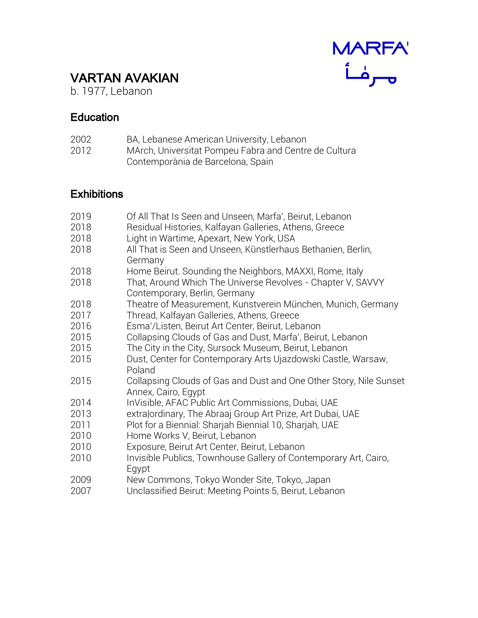# MARFA

## VARTAN AVAKIAN

b. 1977, Lebanon

#### **Education**

| 2002 | BA, Lebanese American University, Lebanon       |
|------|-------------------------------------------------|
| 0010 | MA ush Hubban ital Demonstrated and Oxieties al |

2012 MArch, Universitat Pompeu Fabra and Centre de Cultura Contemporània de Barcelona, Spain

### **Exhibitions**

| 2019 | Of All That Is Seen and Unseen, Marfa', Beirut, Lebanon                                      |
|------|----------------------------------------------------------------------------------------------|
| 2018 | Residual Histories, Kalfayan Galleries, Athens, Greece                                       |
| 2018 | Light in Wartime, Apexart, New York, USA                                                     |
| 2018 | All That is Seen and Unseen, Künstlerhaus Bethanien, Berlin,<br>Germany                      |
| 2018 | Home Beirut. Sounding the Neighbors, MAXXI, Rome, Italy                                      |
| 2018 | That, Around Which The Universe Revolves - Chapter V, SAVVY<br>Contemporary, Berlin, Germany |
| 2018 | Theatre of Measurement, Kunstverein München, Munich, Germany                                 |
| 2017 | Thread, Kalfayan Galleries, Athens, Greece                                                   |
| 2016 | Esma'/Listen, Beirut Art Center, Beirut, Lebanon                                             |
| 2015 | Collapsing Clouds of Gas and Dust, Marfa', Beirut, Lebanon                                   |
| 2015 | The City in the City, Sursock Museum, Beirut, Lebanon                                        |
| 2015 | Dust, Center for Contemporary Arts Ujazdowski Castle, Warsaw,<br>Poland                      |
| 2015 | Collapsing Clouds of Gas and Dust and One Other Story, Nile Sunset<br>Annex, Cairo, Egypt    |
| 2014 | InVisible, AFAC Public Art Commissions, Dubai, UAE                                           |
| 2013 | extralordinary, The Abraaj Group Art Prize, Art Dubai, UAE                                   |
| 2011 | Plot for a Biennial: Sharjah Biennial 10, Sharjah, UAE                                       |
| 2010 | Home Works V, Beirut, Lebanon                                                                |
| 2010 | Exposure, Beirut Art Center, Beirut, Lebanon                                                 |
| 2010 | Invisible Publics, Townhouse Gallery of Contemporary Art, Cairo,<br>Egypt                    |
| 2009 | New Commons, Tokyo Wonder Site, Tokyo, Japan                                                 |
| 2007 | Unclassified Beirut: Meeting Points 5, Beirut, Lebanon                                       |